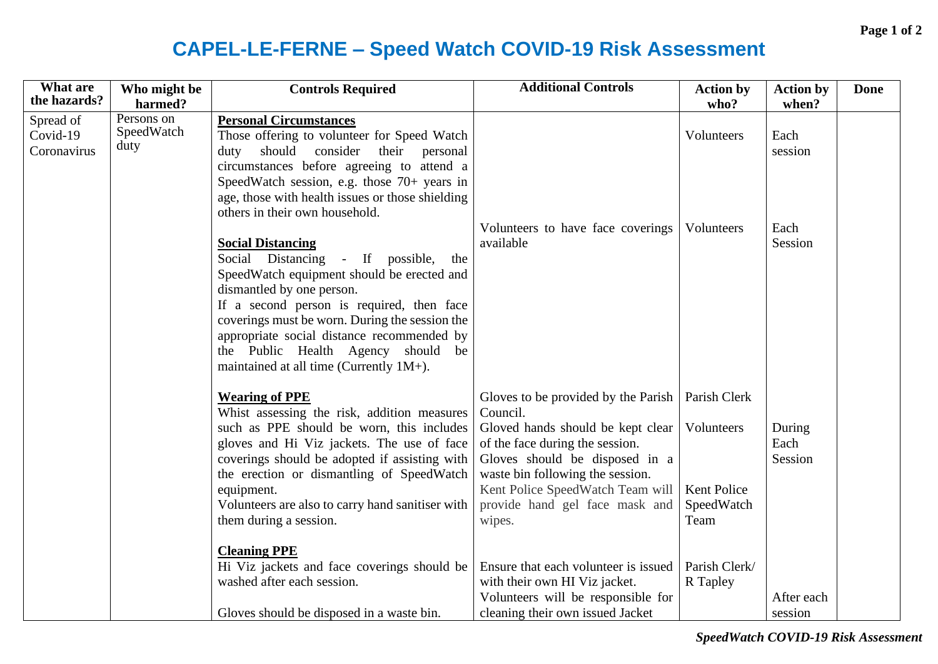## **CAPEL-LE-FERNE – Speed Watch COVID-19 Risk Assessment**

| What are                             | Who might be                     | <b>Controls Required</b>                                                                                                                                                                                                                                                                                                                                                                                          | <b>Additional Controls</b>                                                                                                                                                                                                                                                                   | <b>Action by</b>                                | <b>Action by</b>          | <b>Done</b> |
|--------------------------------------|----------------------------------|-------------------------------------------------------------------------------------------------------------------------------------------------------------------------------------------------------------------------------------------------------------------------------------------------------------------------------------------------------------------------------------------------------------------|----------------------------------------------------------------------------------------------------------------------------------------------------------------------------------------------------------------------------------------------------------------------------------------------|-------------------------------------------------|---------------------------|-------------|
| the hazards?                         | harmed?                          |                                                                                                                                                                                                                                                                                                                                                                                                                   |                                                                                                                                                                                                                                                                                              | who?                                            | when?                     |             |
| Spread of<br>Covid-19<br>Coronavirus | Persons on<br>SpeedWatch<br>duty | <b>Personal Circumstances</b><br>Those offering to volunteer for Speed Watch<br>should consider<br>their personal<br>duty<br>circumstances before agreeing to attend a<br>SpeedWatch session, e.g. those 70+ years in<br>age, those with health issues or those shielding                                                                                                                                         |                                                                                                                                                                                                                                                                                              | Volunteers                                      | Each<br>session           |             |
|                                      |                                  | others in their own household.<br><b>Social Distancing</b><br>Social Distancing - If possible,<br>the<br>SpeedWatch equipment should be erected and<br>dismantled by one person.<br>If a second person is required, then face<br>coverings must be worn. During the session the<br>appropriate social distance recommended by<br>the Public Health Agency should<br>be<br>maintained at all time (Currently 1M+). | Volunteers to have face coverings<br>available                                                                                                                                                                                                                                               | Volunteers                                      | Each<br>Session           |             |
|                                      |                                  | <b>Wearing of PPE</b><br>Whist assessing the risk, addition measures<br>such as PPE should be worn, this includes<br>gloves and Hi Viz jackets. The use of face<br>coverings should be adopted if assisting with<br>the erection or dismantling of SpeedWatch<br>equipment.<br>Volunteers are also to carry hand sanitiser with<br>them during a session.                                                         | Gloves to be provided by the Parish   Parish Clerk<br>Council.<br>Gloved hands should be kept clear<br>of the face during the session.<br>Gloves should be disposed in a<br>waste bin following the session.<br>Kent Police SpeedWatch Team will<br>provide hand gel face mask and<br>wipes. | Volunteers<br>Kent Police<br>SpeedWatch<br>Team | During<br>Each<br>Session |             |
|                                      |                                  | <b>Cleaning PPE</b><br>Hi Viz jackets and face coverings should be<br>washed after each session.<br>Gloves should be disposed in a waste bin.                                                                                                                                                                                                                                                                     | Ensure that each volunteer is issued<br>with their own HI Viz jacket.<br>Volunteers will be responsible for<br>cleaning their own issued Jacket                                                                                                                                              | Parish Clerk/<br>R Tapley                       | After each<br>session     |             |